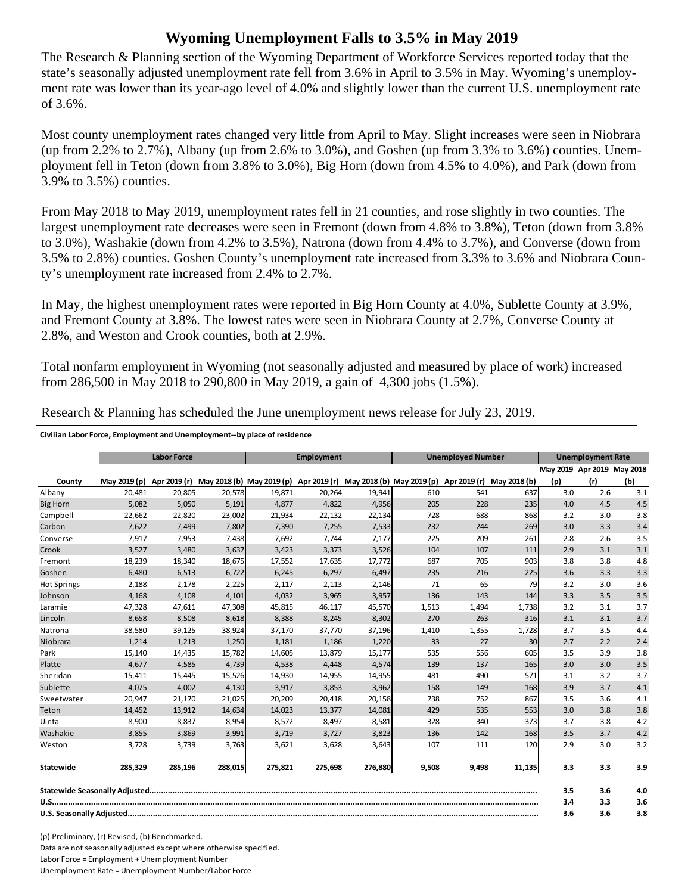## **Wyoming Unemployment Falls to 3.5% in May 2019**

The Research & Planning section of the Wyoming Department of Workforce Services reported today that the state's seasonally adjusted unemployment rate fell from 3.6% in April to 3.5% in May. Wyoming's unemployment rate was lower than its year-ago level of 4.0% and slightly lower than the current U.S. unemployment rate of 3.6%.

Most county unemployment rates changed very little from April to May. Slight increases were seen in Niobrara (up from 2.2% to 2.7%), Albany (up from 2.6% to 3.0%), and Goshen (up from 3.3% to 3.6%) counties. Unemployment fell in Teton (down from 3.8% to 3.0%), Big Horn (down from 4.5% to 4.0%), and Park (down from 3.9% to 3.5%) counties.

From May 2018 to May 2019, unemployment rates fell in 21 counties, and rose slightly in two counties. The largest unemployment rate decreases were seen in Fremont (down from 4.8% to 3.8%), Teton (down from 3.8% to 3.0%), Washakie (down from 4.2% to 3.5%), Natrona (down from 4.4% to 3.7%), and Converse (down from 3.5% to 2.8%) counties. Goshen County's unemployment rate increased from 3.3% to 3.6% and Niobrara County's unemployment rate increased from 2.4% to 2.7%.

In May, the highest unemployment rates were reported in Big Horn County at 4.0%, Sublette County at 3.9%, and Fremont County at 3.8%. The lowest rates were seen in Niobrara County at 2.7%, Converse County at 2.8%, and Weston and Crook counties, both at 2.9%.

Total nonfarm employment in Wyoming (not seasonally adjusted and measured by place of work) increased from 286,500 in May 2018 to 290,800 in May 2019, a gain of 4,300 jobs (1.5%).

|                    | <b>Labor Force</b>        |         |         | <b>Employment</b>                                                |         |         | <b>Unemployed Number</b> |                           |        | <b>Unemployment Rate</b>   |     |     |
|--------------------|---------------------------|---------|---------|------------------------------------------------------------------|---------|---------|--------------------------|---------------------------|--------|----------------------------|-----|-----|
|                    |                           |         |         |                                                                  |         |         |                          |                           |        | May 2019 Apr 2019 May 2018 |     |     |
| County             | May 2019 (p) Apr 2019 (r) |         |         | May 2018 (b) May 2019 (p) Apr 2019 (r) May 2018 (b) May 2019 (p) |         |         |                          | Apr 2019 (r) May 2018 (b) |        | (p)                        | (r) | (b) |
| Albany             | 20,481                    | 20,805  | 20,578  | 19,871                                                           | 20,264  | 19,941  | 610                      | 541                       | 637    | 3.0                        | 2.6 | 3.1 |
| Big Horn           | 5,082                     | 5,050   | 5,191   | 4,877                                                            | 4,822   | 4,956   | 205                      | 228                       | 235    | 4.0                        | 4.5 | 4.5 |
| Campbell           | 22,662                    | 22,820  | 23,002  | 21,934                                                           | 22,132  | 22,134  | 728                      | 688                       | 868    | 3.2                        | 3.0 | 3.8 |
| Carbon             | 7.622                     | 7.499   | 7,802   | 7.390                                                            | 7,255   | 7,533   | 232                      | 244                       | 269    | 3.0                        | 3.3 | 3.4 |
| Converse           | 7,917                     | 7,953   | 7,438   | 7,692                                                            | 7,744   | 7,177   | 225                      | 209                       | 261    | 2.8                        | 2.6 | 3.5 |
| Crook              | 3,527                     | 3,480   | 3,637   | 3,423                                                            | 3,373   | 3,526   | 104                      | 107                       | 111    | 2.9                        | 3.1 | 3.1 |
| Fremont            | 18,239                    | 18,340  | 18,675  | 17,552                                                           | 17,635  | 17,772  | 687                      | 705                       | 903    | 3.8                        | 3.8 | 4.8 |
| Goshen             | 6,480                     | 6,513   | 6,722   | 6,245                                                            | 6,297   | 6,497   | 235                      | 216                       | 225    | 3.6                        | 3.3 | 3.3 |
| <b>Hot Springs</b> | 2,188                     | 2,178   | 2,225   | 2,117                                                            | 2,113   | 2,146   | 71                       | 65                        | 79     | 3.2                        | 3.0 | 3.6 |
| Johnson            | 4,168                     | 4,108   | 4,101   | 4,032                                                            | 3,965   | 3,957   | 136                      | 143                       | 144    | 3.3                        | 3.5 | 3.5 |
| Laramie            | 47,328                    | 47,611  | 47,308  | 45,815                                                           | 46,117  | 45,570  | 1,513                    | 1,494                     | 1,738  | 3.2                        | 3.1 | 3.7 |
| Lincoln            | 8,658                     | 8,508   | 8,618   | 8,388                                                            | 8,245   | 8,302   | 270                      | 263                       | 316    | 3.1                        | 3.1 | 3.7 |
| Natrona            | 38,580                    | 39,125  | 38,924  | 37,170                                                           | 37,770  | 37,196  | 1,410                    | 1,355                     | 1,728  | 3.7                        | 3.5 | 4.4 |
| Niobrara           | 1,214                     | 1,213   | 1,250   | 1,181                                                            | 1,186   | 1,220   | 33                       | 27                        | 30     | 2.7                        | 2.2 | 2.4 |
| Park               | 15,140                    | 14,435  | 15,782  | 14,605                                                           | 13,879  | 15,177  | 535                      | 556                       | 605    | 3.5                        | 3.9 | 3.8 |
| Platte             | 4,677                     | 4,585   | 4,739   | 4,538                                                            | 4,448   | 4,574   | 139                      | 137                       | 165    | 3.0                        | 3.0 | 3.5 |
| Sheridan           | 15,411                    | 15,445  | 15,526  | 14,930                                                           | 14,955  | 14,955  | 481                      | 490                       | 571    | 3.1                        | 3.2 | 3.7 |
| Sublette           | 4,075                     | 4,002   | 4,130   | 3,917                                                            | 3,853   | 3,962   | 158                      | 149                       | 168    | 3.9                        | 3.7 | 4.1 |
| Sweetwater         | 20,947                    | 21,170  | 21,025  | 20,209                                                           | 20,418  | 20,158  | 738                      | 752                       | 867    | 3.5                        | 3.6 | 4.1 |
| Teton              | 14,452                    | 13,912  | 14,634  | 14,023                                                           | 13,377  | 14,081  | 429                      | 535                       | 553    | 3.0                        | 3.8 | 3.8 |
| Uinta              | 8,900                     | 8,837   | 8,954   | 8,572                                                            | 8,497   | 8,581   | 328                      | 340                       | 373    | 3.7                        | 3.8 | 4.2 |
| Washakie           | 3,855                     | 3,869   | 3,991   | 3,719                                                            | 3,727   | 3,823   | 136                      | 142                       | 168    | 3.5                        | 3.7 | 4.2 |
| Weston             | 3,728                     | 3,739   | 3,763   | 3,621                                                            | 3,628   | 3,643   | 107                      | 111                       | 120    | 2.9                        | 3.0 | 3.2 |
| <b>Statewide</b>   | 285,329                   | 285,196 | 288,015 | 275,821                                                          | 275,698 | 276,880 | 9,508                    | 9,498                     | 11,135 | 3.3                        | 3.3 | 3.9 |
|                    |                           |         |         |                                                                  |         |         |                          | 3.5                       | 3.6    | 4.0                        |     |     |
|                    |                           |         |         |                                                                  |         |         |                          |                           | 3.4    | 3.3                        | 3.6 |     |
|                    |                           |         |         |                                                                  |         |         |                          |                           | 3.6    | 3.6                        | 3.8 |     |

Research & Planning has scheduled the June unemployment news release for July 23, 2019.

**Civilian Labor Force, Employment and Unemployment‐‐by place of residence**

(p) Preliminary, (r) Revised, (b) Benchmarked. Data are not seasonally adjusted except where otherwise specified. Labor Force = Employment + Unemployment Number Unemployment Rate = Unemployment Number/Labor Force